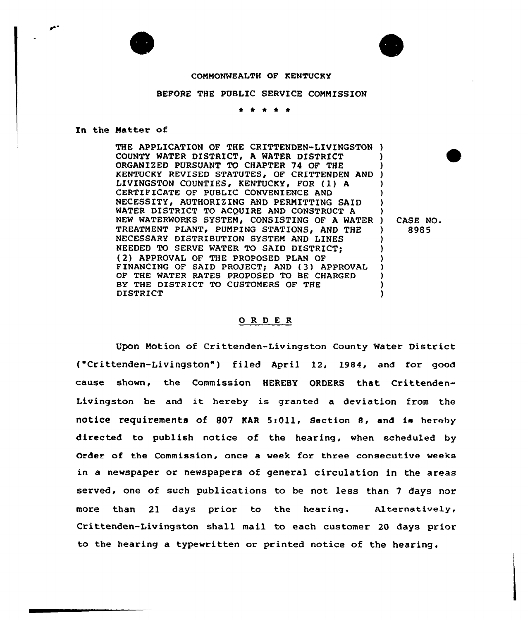



## COMMONWEALTH OF KENTUCKY

## BEFORE THE PUBLIC SERVICE COMMISSION

## \*

In the Natter of

THE APPLICATION OF THE CRITTENDEN-LIVINGSTON ) COUNTY WATER DISTRICT, A WATER DISTRICT ORGANIZED PURSUANT TO CHAPTER 74 OF THE KENTUCKY REVISED STATUTES, OF CRITTENDEN AND LIVINGSTON COUNTIES, KENTUCKY, FOR (1) A CERTIFICATE OF PUBLIC CONVENIENCE AND NECESSITY, AUTHORIZING AND PERMITTING SAID WATER DISTRICT TO ACQUIRE AND CONSTRUCT A NEW WATERWORKS SYSTEM, CONSISTING OF A WATER TREATMENT PLANT, PUMPING STATIONS, AND THE NECESSARY DISTRIBUTION SYSTEM AND LINES NEEDED TO SERVE WATER TO SAID DISTRICT; (2) APPROVAL OF THE PROPOSED PLAN OF FINANCING OF SAID PROJECT; AND (3) APPROVAL OF THE WATER RATES PROPOSED TO BE CHARGED BY THE DISTRICT TO CUSTOMERS OF THE DISTRICT ) ) ) ) ) ) ) ) CASE NO. ) 8985 ) ) ) ) ) ) )

## 0 <sup>R</sup> <sup>D</sup> <sup>E</sup> <sup>R</sup>

Upon Motion of Crittenden-Livingston County Water District ("Crittenden-Livingston" ) filed April 12, 1984, and for good cause shown, the Commission HEREBY ORDERS that Crittenden-Livingston be and it hereby is granted <sup>a</sup> deviation from the notice requirements of 807 KAR 5:011, Section 8, and is hereby directed to publish notice of the hearing, when scheduled by Order of the Commission, once a week for three consecutive weeks in a newspaper or newspapers of general circulation in the areas served, one of such publications to be not less than 7 days nor more than 21 days prior to the hearing. Alternatively, Crittenden-Livingston shall mail to each customer 20 days prior to the hearing a typewritten or printed notice of the hearing.